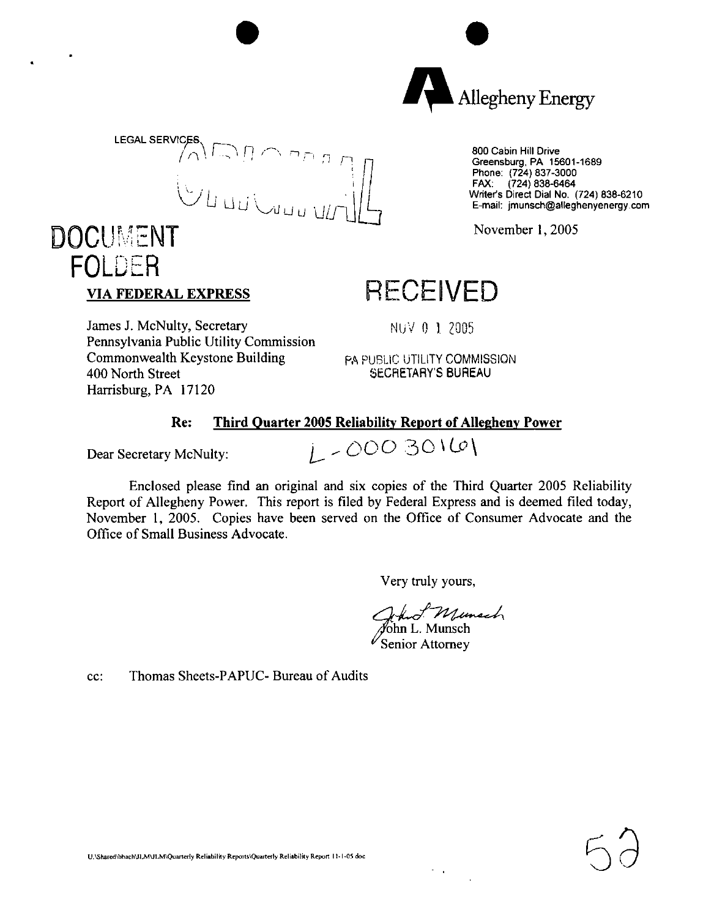



800 Cabin Hill Drive Greensburg, PA 15601-1689 Phone: (724) 837-3000 FAX: (724) 838-6464 Writer's Direct Dial No. (724) 838-6210 E-mail: jmunsch@alleghenyenergy.com

November 1,2005

## **RECEIVED**

NUV 0 <sup>1</sup> 2005

James J. McNulty, Secretary Pennsylvania Public Utility Commission Commonwealth Keystone Building 400 North Street Harrisburg, PA 17120

PA PUBLIC UTILITY COMMISSION SECRETARY'S BUREAU

#### **Re: Third Quarter 2005 Reliability Report of Allegheny Power**

**VIA FEDERAL EXPRESS**

FOLDER

Dear Secretary McNulty:  $\int_{\mathbb{R}^2}$  - 000 30 $\sqrt{0}$ 

Enclosed please find an original and six copies of the Third Quarter 2005 Reliability Report of Allegheny Power. This report is filed by Federal Express and is deemed filed today, November 1, 2005. Copies have been served on the Office of Consumer Advocate and the Office of Small Business Advocate.

Very truly yours,

/John L. Munsch

 $\sim 10$ 

 $\mathscr{V}_{\mathbf{S}\mathsf{enior\,} \mathbf{Attorne}}$ v

cc: Thomas Sheets-PAPUC- Bureau of Audits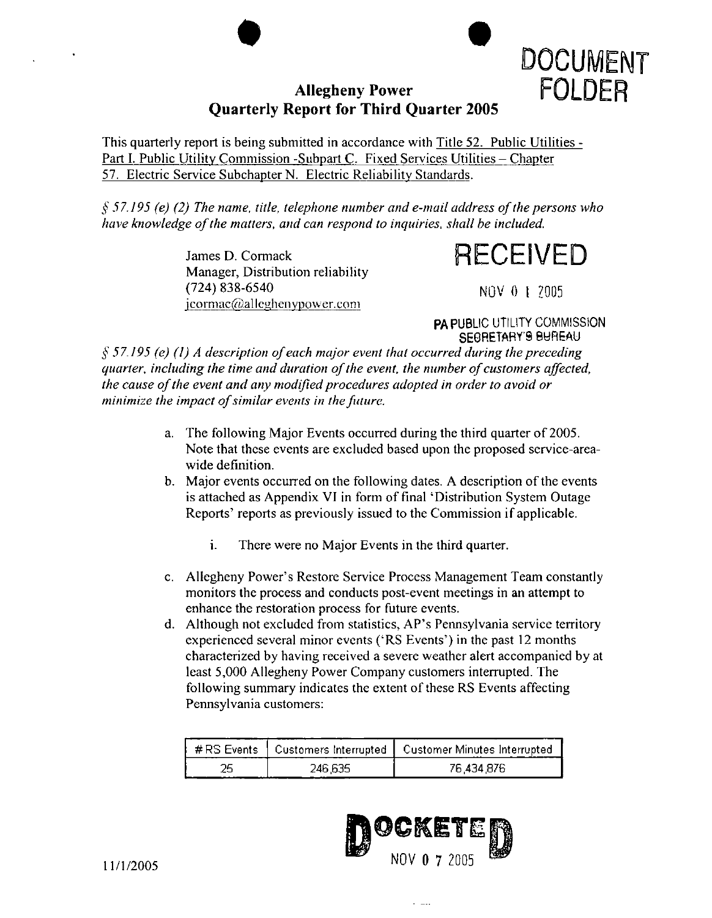## Allegheny Power **FOLDER Quarterly Report for Third Quarter 2005**



This quarterly report is being submitted in accordance with Title 52. Public Utilities - Part I. Public Utility Commission -Subpart C. Fixed Services Utilities - Chapter *51.* Electric Service Subchapter N. Electric Reliability Standards.

*§ 57.195 (e) (2) The name, title, telephone number and e-mail address ofthe persons who have knowledge ofthe matters, and can respond to inquiries, shall be included.*

> James D. Cormack Manager, Distribution reliability (724) 838-6540 jcormac@alleghenypower.com

RECEIVED

NOV 0 l 2005

**PA** PUBLIC UTILITY COMMISSION SECRETARY'S BUREAU

*§ 57.195 (e) (1) A description ofeach major event that occurred during the preceding quarter, including the time and duration ofthe event, the number ofcustomers affected, the cause ofthe event and any modifiedprocedures adopted in order to avoid or minimize the impact ofsimilar events in thefuture.*

- a. The following Major Events occurred during the third quarter of 2005. Note that these events are excluded based upon the proposed service-areawide definition.
- b. Major events occurred on the following dates. A description of the events is attached as Appendix VI in form of final 'Distribution System Outage Reports' reports as previously issued to the Commission if applicable.
	- i. There were no Major Events in the third quarter.
- c. Allegheny Power's Restore Service Process Management Team constantly monitors the process and conducts post-event meetings in an attempt to enhance the restoration process for future events.
- d. Although not excluded from statistics, AP's Pennsylvania service territory experienced several minor events ('RS Events') in the past <sup>12</sup> months characterized by having received a severe weather alert accompanied by at least 5,000 Allegheny Power Company customers interrupted. The following summary indicates the extent of these RS Events affecting Pennsylvania customers:

|         | ;#RS Events 丨 Customers Interrupted 丨 Customer Minutes Interrupted. |
|---------|---------------------------------------------------------------------|
| 246.635 | 76.434.876                                                          |

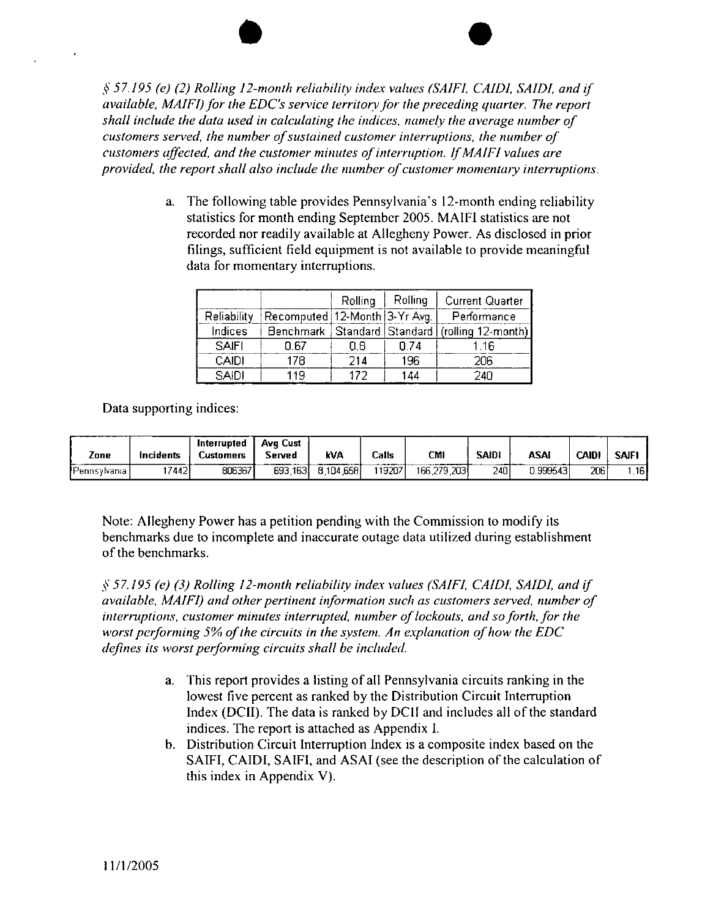*§ 57.195 (e) (2) Rolling 12-month reliability index values (SA1F1, CAID1, SAIDI, and if available, MAIFI)for the EDC's sen'ice territoryfor the preceding cjuarter. The report shall include the data used in calculating the indices, namely the average number of customers served, the number ofsustained customer interruptions, the number of customers affected, and the customer minutes ofinterruption. IfMAIFI values are provided, the report shall also include the number ofcustomer momentary interruptions.*

> a. The following table provides Pennsylvania's 12-month ending reliability statistics for month ending September 2005. MAIFI statistics are not recorded nor readily available at Allegheny Power. As disclosed in prior filings, sufficient field equipment is not available to provide meaningful data for momentary interruptions.

|              |                               | Rolling | Rolling | <b>Current Quarter</b>                               |
|--------------|-------------------------------|---------|---------|------------------------------------------------------|
| Reliability  | Recomputed 12-Month 3-Yr Avg. |         |         | Performance                                          |
| Indices      |                               |         |         | Benchmark   Standard   Standard   (rolling 12-month) |
| <b>SAIFI</b> | 0.67                          | 0.8     | በ 74    | 1 1 F                                                |
| CAIDI        | 178                           | 214     | 196     | 2กค                                                  |
| <b>SAIDI</b> | 119                           | 177     | 144     | 240                                                  |

Data supporting indices:

| Zone         | incidents | Interrupted<br>Customers | Ava Cust<br>Served | k۷A       | Calls | CMI         | <b>SAIDI</b> | ASAI      | <b>CAID</b> | <b>SAIF</b> |
|--------------|-----------|--------------------------|--------------------|-----------|-------|-------------|--------------|-----------|-------------|-------------|
| Pennsylvania | '74421    | 806367                   | 693,163            | 8.104,658 | 19207 | 166,279,203 | 2401         | 1.9995431 | 206         | .161        |

Note: Allegheny Power has a petition pending with the Commission to modify its benchmarks due to incomplete and inaccurate outage data utilized during establishment ofthe benchmarks.

*§ 57.195 (e) (3) Rolling 12-month reliability index values (SAIF!, CAIDI, SAIDI, and if available, MAIFI) and otherpertinent information such as customers served, number of interruptions, customer minutes interrupted, number oflockouts, and soforth, for the worst performing* 5% of the circuits in the system. An explanation of how the EDC *defines its worstperforming circuits shall be included.*

- a. This report provides a listing of all Pennsylvania circuits ranking in the lowest five percent as ranked by the Distribution Circuit Interruption Index (DCII). The data is ranked by DCII and includes all of the standard indices. The report is attached as Appendix I.
- b. Distribution Circuit Interruption Index is a composite index based on the SAIFI, CAIDI, SAIFI, and ASAI (see the description of the calculation of this index in Appendix V).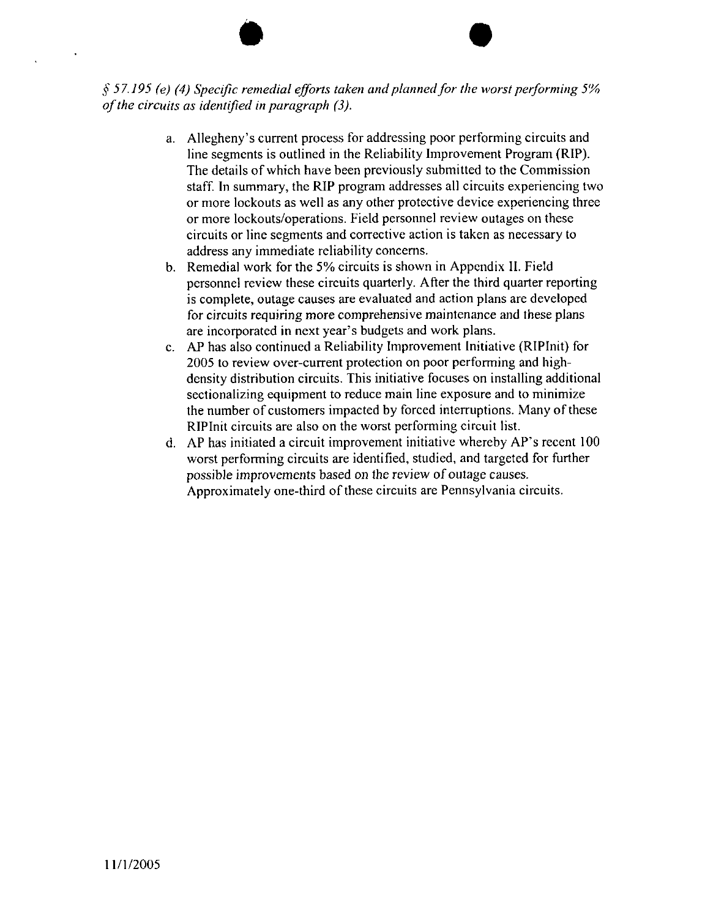*§ 57.195 (e) (4) Specific remedial efforts taken andplannedfor the worst performing 5% ofthe circuits as identified in paragraph (3).*

- a. Allegheny's current process for addressing poor performing circuits and line segments is outlined in the Reliability Improvement Program (RIP). The details of which have been previously submitted to the Commission staff. In summary, the RIP program addresses all circuits experiencing two or more lockouts as well as any other protective device experiencing three or more lockouts/operations. Field personnel review outages on these circuits or line segments and corrective action is taken as necessary to address any immediate reliability concerns.
- b. Remedial work for the 5% circuits is shown in Appendix II. Field personnel review these circuits quarterly. After the third quarter reporting is complete, outage causes are evaluated and action plans are developed for circuits requiring more comprehensive maintenance and these plans are incorporated in next year's budgets and work plans.
- c. AP has also continued a Reliability Improvement Initiative (RIPInit) for 2005 to review over-current protection on poor performing and highdensity distribution circuits. This initiative focuses on installing additional sectionalizing equipment to reduce main line exposure and to minimize the number of customers impacted by forced interruptions. Many of these RIPInit circuits are also on the worst performing circuit list.
- d. AP has initiated <sup>a</sup> circuit improvement initiative whereby AP's recent <sup>100</sup> worst performing circuits are identified, studied, and targeted for further possible improvements based on the review of outage causes. Approximately one-third of these circuits are Pennsylvania circuits.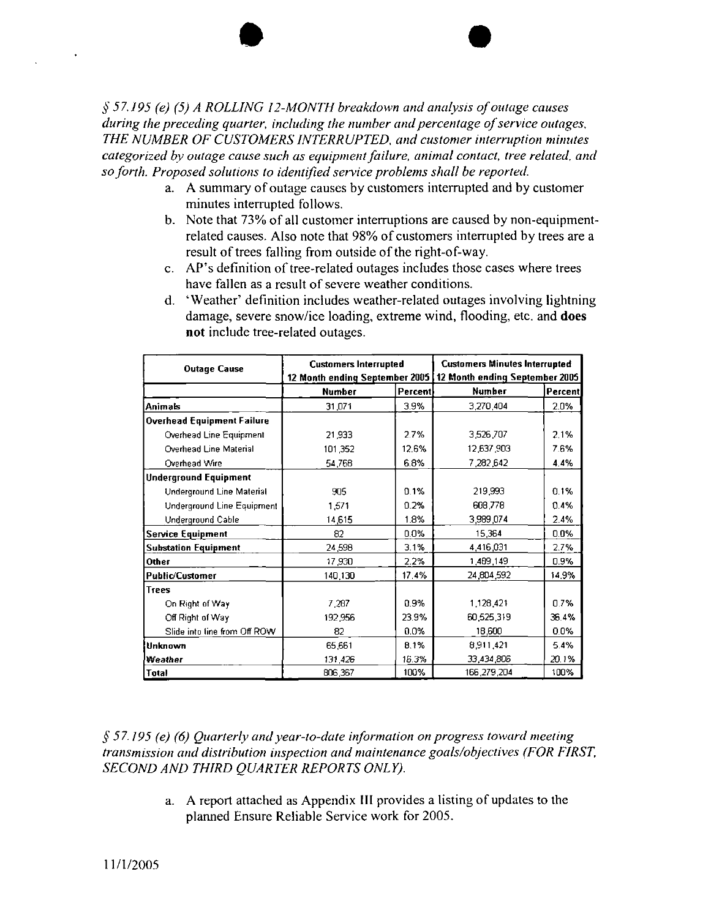*§ 57.195 (e) (5) A ROLLING 12-MONTH breakdown and analysis ofoutage causes during the preceding quarter, including the number andpercentage ofservice outages, THE NUMBER OF CUSTOMERS INTERRUPTED, and customer interruption minutes categorized by outage cause such as equipmentfailure, animal contact, tree related, and soforth. Proposed solutions to identified service problems shall be reported.*

- a. A summary of outage causes by customers interrupted and by customer minutes interrupted follows.
- b. Note that 73% of all customer interruptions are caused by non-equipmentrelated causes. Also note that 98% of customers interrupted by trees are a result of trees falling from outside of the right-of-way.
- c. AP's definition of tree-related outages includes those cases where trees have fallen as <sup>a</sup> result of severe weather conditions.
- d. 'Weather\* definition includes weather-related outages involving lightning damage, severe snow/ice loading, extreme wind, flooding, etc. and **does not** include tree-related outages.

| <b>Outage Cause</b>               | <b>Customers Interrupted</b>   |         | <b>Customers Minutes Interrupted</b> |         |  |  |
|-----------------------------------|--------------------------------|---------|--------------------------------------|---------|--|--|
|                                   | 12 Month ending September 2005 |         | 12 Month ending September 2005       |         |  |  |
|                                   | <b>Number</b>                  | Percent | Number                               | Percent |  |  |
| <b>Animals</b>                    | 31,071                         | 3.9%    | 3,270,404                            | 2.0%    |  |  |
| <b>Overhead Equipment Failure</b> |                                |         |                                      |         |  |  |
| Overhead Line Equipment           | 21,933                         | 2.7%    | 3,526,707                            | 2.1%    |  |  |
| Overhead Line Material            | 101,352                        | 12.6%   | 12,637,903                           | 7.6%    |  |  |
| Overhead Wire                     | 54,768                         | 6.8%    | 7,282,642                            | 4.4%    |  |  |
| <b>Underground Equipment</b>      |                                |         |                                      |         |  |  |
| Underground Line Material         | 905                            | 0.1%    | 219,993                              | 0.1%    |  |  |
| Underground Line Equipment        | 1.571                          | 0.2%    | 608,778                              | 0.4%    |  |  |
| Underground Cable                 | 14,615                         | 1.8%    | 3,989 074                            | 2.4%    |  |  |
| <b>Service Equipment</b>          | 82                             | 0.0%    | 15,364                               | 0.0%    |  |  |
| <b>Substation Equipment</b>       | 24,598                         | 3.1%    | 4,416,031                            | 2.7%    |  |  |
| Other                             | 17.930                         | 2.2%    | 1,489,149                            | 0.9%    |  |  |
| <b>Public/Customer</b>            | 140,130                        | 17.4%   | 24,804,592                           | 14.9%   |  |  |
| <b>Trees</b>                      |                                |         |                                      |         |  |  |
| On Right of Way                   | 7 287                          | 0.9%    | 1,128,421                            | 0.7%    |  |  |
| Off Right of Way                  | 192,956                        | 23.9%   | 60,525,319                           | 36.4%   |  |  |
| Slide into line from Off ROW      | 82                             | 0.0%    | 18,600                               | 0.0%    |  |  |
| <b>Unknown</b>                    | 65,661                         | 8.1%    | 8,911,421                            | 5.4%    |  |  |
| Weather                           | 131,426                        | 16.3%   | 33,434,806                           | 20.1%   |  |  |
| Total                             | 806,367                        | 100%    | 166,279,204                          | 100%    |  |  |

*§57.195 (e) (6) Quarterly andyear-to-date information on progress toward meeting transmission and distribution inspection and maintenance goals/objectives (FOR FIRST, SECOND AND THIRD QUARTER REPORTS ONLY).*

> a. A report attached as Appendix III provides <sup>a</sup> listing of updates to the planned Ensure Reliable Service work for 2005.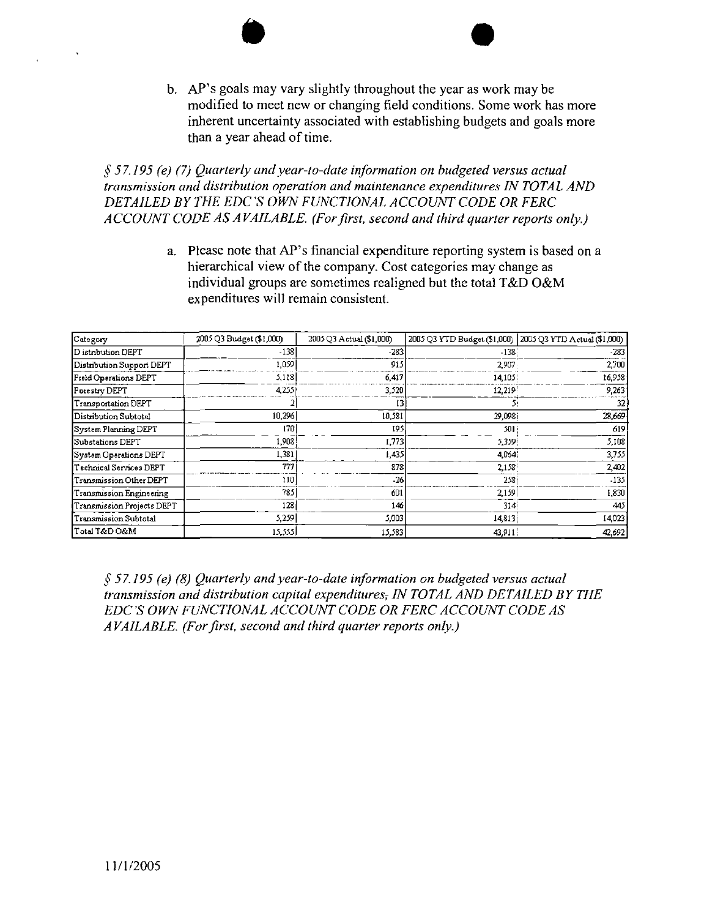b. AP's goals may vary slightly throughout the year as work may be modified to meet new or changing field conditions. Some work has more inherent uncertainty associated with establishing budgets and goals more than a year ahead of time.

*§57.195 (e) (7) Quarterly andyear-to-date information on budgeted versus actual transmission and distribution operation and maintenance expenditures IN TOTAL AND DETAILED BY THE EDC 'S OWN FUNCTIONAL ACCOUNT CODE OR FERC ACCOUNT CODE AS A VAILABLE. (Forfirst, second and third quarter reports only.)*

> a. Please note that AP's financial expenditure reporting system is based on <sup>a</sup> hierarchical view of the company. Cost categories may change as individual groups are sometimes realigned but the total T&D O&M expenditures will remain consistent.

| Category                     | 2005 Q3 Budget (\$1,000) | 2005 Q3 Actual (\$1,000) | 2005 Q3 YTD Budget (\$1,000)   2005 Q3 YTD Actual (\$1,000) |        |
|------------------------------|--------------------------|--------------------------|-------------------------------------------------------------|--------|
| D istribution DEPT           | $-138$                   | $-283$                   | $-138$                                                      | -283   |
| Distribution Support DEPT    | 1,059                    | 915                      | 2,907                                                       | 2,700  |
| <b>Field Operations DEPT</b> | 5.118                    | 6,417                    | 14,105                                                      | 16,958 |
| Forestry DEPT                | 4,255                    | 3,520                    | 12.219                                                      | 9.263  |
| Transportation DEPT          |                          | 13                       |                                                             | 32.    |
| Distribution Subtotal        | 10,296                   | 10,581                   | 29,0981                                                     | 28,669 |
| System Planning DEPT         | 170                      | 195                      | 501                                                         | 619    |
| Substations DEPT             | 1,908                    | 1,773                    | 5,359                                                       | 5,108  |
| System Operations DEPT       | 1,381                    | 1,435                    | 4,064                                                       | 3,755  |
| Technical Services DEPT      | 777                      | 878                      | 2,158                                                       | 2,402  |
| Transmission Other DEPT      | 110                      | $-26$                    | <b>258</b>                                                  | -135   |
| Transmission Engineering     | 785                      | 601                      | 2,159                                                       | 1,830  |
| Transmission Projects DEPT   | 128                      | 146                      | 314                                                         | 445    |
| Transmission Subtotal        | 5.259                    | 5,003                    | 14,813                                                      | 14,023 |
| Total T&D O&M                | 15,555                   | 15,583                   | 43,911                                                      | 42,692 |

*§ 57.195 (e) (8) Quarterly andyear-to-date information on budgeted versus actual transmission and distribution capital expenditures, IN TOTAL AND DETAILED BY THE EDC'S OWN FUNCTIONAL ACCOUNT CODE OR FERC ACCOUNT CODE AS A VAILABLE. (Forfirst, second and third quarter reports only.)*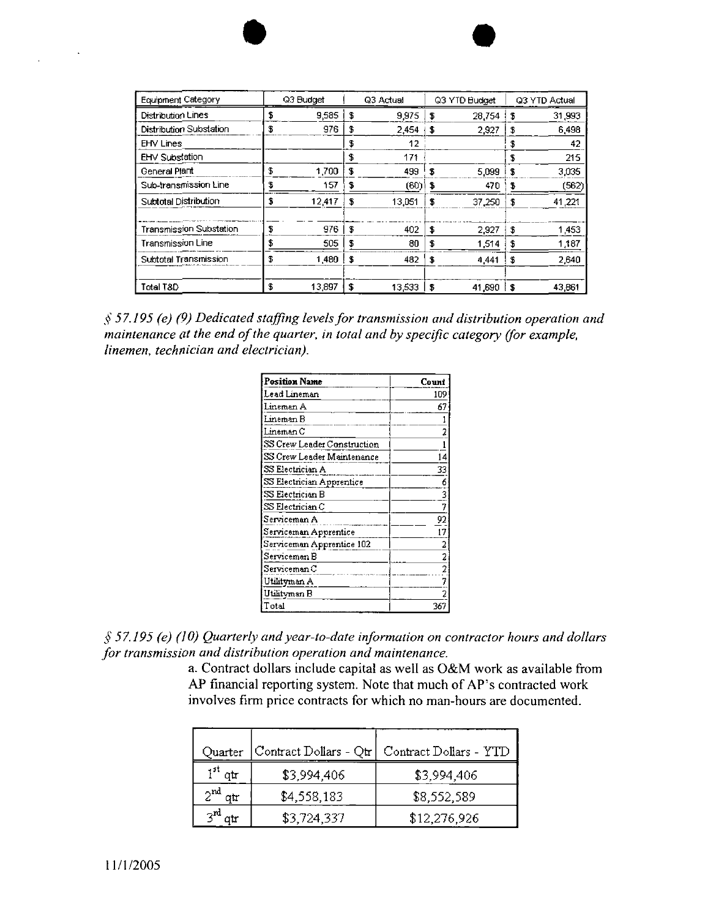| <b>Equipment Category</b> |    | Q3 Budget |    | Q3 Actual |    | Q3 YTD Budget |      | Q3 YTD Actual |
|---------------------------|----|-----------|----|-----------|----|---------------|------|---------------|
| Distribution Lines        | \$ | 9,585     | \$ | 9,975     | s  | 28.754        | £    | 31,993        |
| Distribution Substation   | \$ | 976       | \$ | 2,454     | s  | 2.927         | S    | 6,498         |
| <b>EHV Lines</b>          |    |           | \$ | 12        |    |               | \$   | 42            |
| EHV Substation            |    |           | \$ | 171       |    |               | \$   | 215           |
| General Plant             | \$ | 1,700     | \$ | 439       | \$ | 5.099         | \$   | 3,035         |
| Sub-transmission Line     | \$ | 157       | S  | (60)      | s  | 470           |      | (562)         |
| Subtotal Distribution     | \$ | 12,417    | \$ | 13,051    | \$ | 37.250        | £    | 41,221        |
| Transmission Substation   | \$ | 976       | \$ | 402       | s  | 2.927         | \$   | 1,453         |
| Transmission Line         | \$ | 505       | \$ | 80        | £  | 1.514         | \$   | 1,187         |
| Subtotal Transmission     | Ŧ  | 1.480     | \$ | 432       | \$ | 4 4 4 1       | \$   | 2,640         |
| Total T&D                 | \$ | 13,897    | s  | 13,533    | \$ | 41,690        | - \$ | 43,861        |

\$ *57.195 (e) (9) Dedicated staffing levelsfor transmission and distribution operation and maintenance at the end of the quarter, in total and by specific category (for example, linemen, technician and electrician).*

| Position Name               | Count                   |
|-----------------------------|-------------------------|
| Lead Lineman                | 109                     |
| Lineman A                   | 67                      |
| Lineman B                   |                         |
| Lineman C                   |                         |
| SS Crew Leader Construction |                         |
| SS Crew Leader Maintenance  | 14                      |
| SS Electrician A            | 33                      |
| SS Electrician Apprentice   | 6                       |
| SS Electrician B            | 3                       |
| SS Electrician C            | 7                       |
| Serviceman A                | 92                      |
| Serviceman Apprentice       | 17                      |
| Serviceman Apprentice 102   | 2                       |
| Serviceman B                | $\overline{\mathbf{c}}$ |
| Serviceman C                | 2                       |
| Utilityman A                | 7                       |
| Utilityman B                |                         |
| $\Gamma$ otal               | 36                      |

*§ 57.195 (e) (10) Quarterly andyear-to-date information on contractor hours and dollars for transmission and distribution operation and maintenance.*

a. Contract dollars include capital as well as O&M work as available from AP financial reporting system. Note that much of AP's contracted work involves firm price contracts for which no man-hours are documented.

| Quarter             | Contract Dollars - Qtr | Contract Dollars - YTD |
|---------------------|------------------------|------------------------|
| 1 <sup>st</sup> qtr | \$3,994,406            | \$3,994,406            |
| ∽nd<br>ou           | \$4,558,183            | \$8,552,589            |
|                     | \$3,724,337            | \$12,276,926           |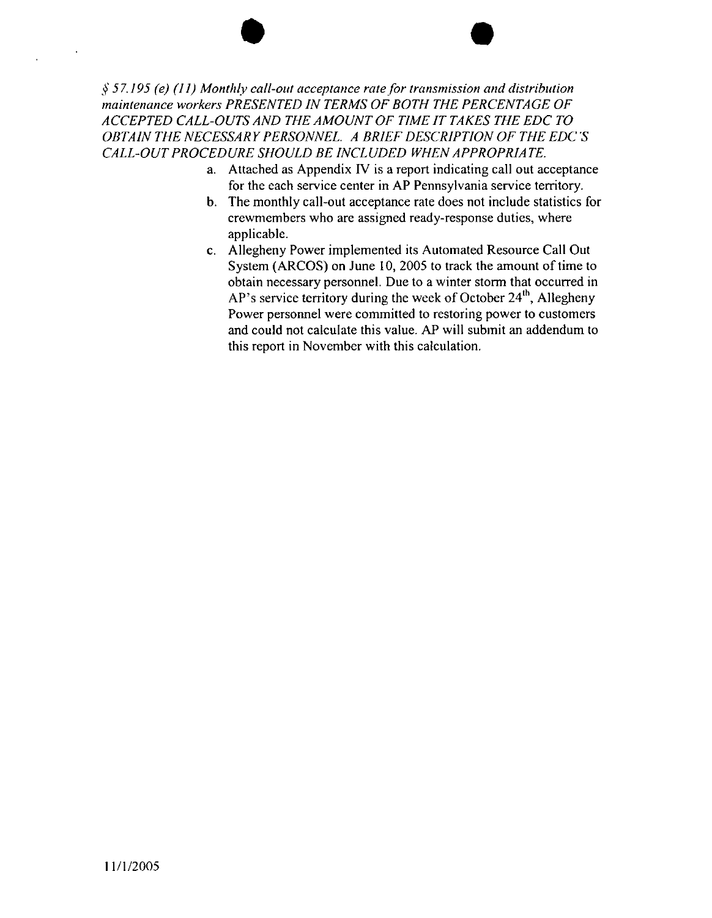#### *§ 57.195 (e) (11) Monthly call-out acceptance ratefor transmission and distribution maintenance workers PRESENTED IN TERMS OF BOTH THE PERCENTAGE OF ACCEPTED CALL-OUTSAND THE AMOUNT OF TIME IT TAKES THE EDC TO OBTAIN THE NECESSARYPERSONNEL A BRIEF DESCRIPTION OF THE EDCS CALL-OUTPROCEDURE SHOULD BE INCLUDED WHEN APPROPRIATE.*

- a. Attached as Appendix IV is a report indicating call out acceptance for the each service center in AP Pennsylvania service territory.
- b. The monthly call-out acceptance rate does not include statistics for crewmembers who are assigned ready-response duties, where applicable.
- c. Allegheny Power implemented its Automated Resource Call Out System (ARCOS) on June 10, 2005 to track the amount of time to obtain necessary personnel. Due to a winter storm that occurred in AP's service territory during the week of October  $24<sup>th</sup>$ , Allegheny Power personnel were committed to restoring power to customers and could not calculate this value. AP will submit an addendum to this report in November with this calculation.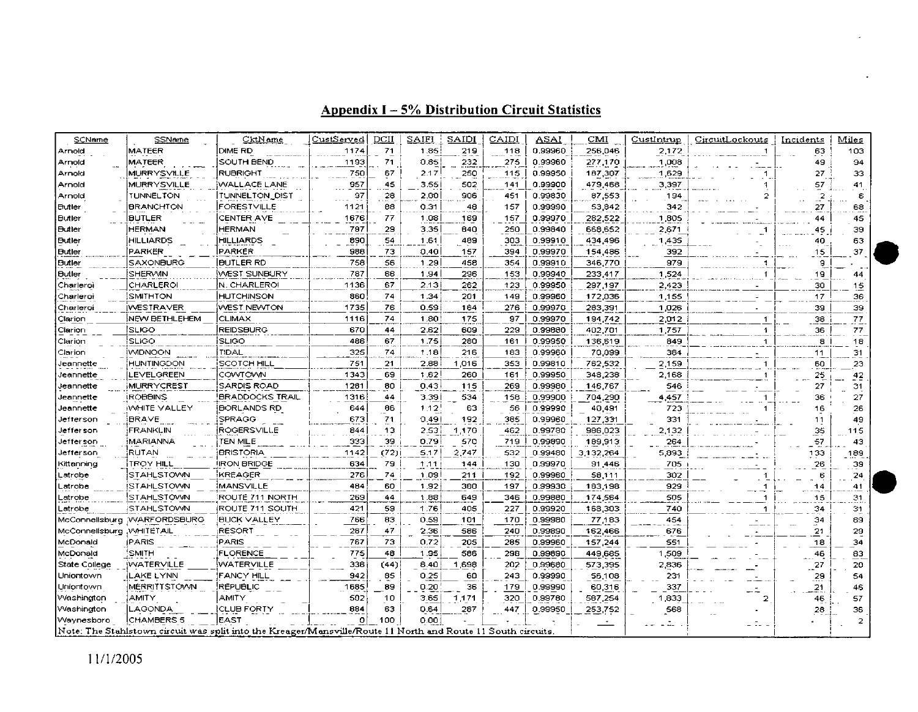| SCName         | SSName                        | CktName                                                                                                      | CustServed | <u>DCII</u> | SAIFI | SAIDI | CAIDI | ASAI    | CMI       | CustIntrup | CircuitLockouts      | Incidents       | Miles |
|----------------|-------------------------------|--------------------------------------------------------------------------------------------------------------|------------|-------------|-------|-------|-------|---------|-----------|------------|----------------------|-----------------|-------|
| Arnold         | MATEER                        | DIME RD                                                                                                      | 1174       | 71          | 1.85  | 219   | 118   | 0,99960 | 256,046   | 2,172      |                      | 53              | 103   |
| Arnold         | MATEER                        | SOUTH BEND                                                                                                   | 1193       | 71          | 0.35  | 232   | 275   | 0.99960 | 277,170   | 1,008      |                      | 49              | 94    |
| Arnold         | MURRYSVILLE                   | <b>RUBRIGHT</b>                                                                                              | 750        | 67          | 2.17  | 250   | 115   | 0.99950 | 187,307   | 1,629      |                      | 27              | 33    |
| Arnold         | MURRYSVILLE                   | <b>WALLACE LANE</b>                                                                                          | 957        | 45          | 3.55  | 502   | 141   | 0.99900 | 479,468   | 3,397      |                      | 57              | 41    |
| Arnold         | TUNNELTON                     | TUNNELTON DIST                                                                                               | 97         | 28          | 2.00  | 906   | 451   | 0.99830 | 87,553    | 194        |                      | $\mathbb{R}^2$  | ε     |
| Eutier         | <b>BRANCHTON</b>              | FORESTVILLE                                                                                                  | 1121       | 68          | 0.31  | 48    | 157   | 0.99990 | 53,842    | 342        |                      | 27              | 68    |
| <b>Eutler</b>  | <b>BUTLER</b>                 | CENTER AVE                                                                                                   | 1676       | 77          | 1.08  | 169   | 157   | 0.99970 | 282,522   | 1,805      |                      | 44              | 45    |
| <b>Butler</b>  | <b>HERMAN</b>                 | <b>HERMAN</b>                                                                                                | 797        | 29          | 3.35  | 840   | 250   | 0.99840 | 668,652   | 2,671      |                      | 45 <sub>1</sub> | 39    |
| Butler         | <b>HILLIARDS</b>              | <b>HILLIARDS</b>                                                                                             | 890        | 54          | 1.61  | 489   | 303   | 0.99910 | 434,496   | 1,435      |                      | 40              | 63    |
| <b>Butler</b>  | PARKER                        | PARKER                                                                                                       | 988        | 73          | 0.40  | 157   | 394   | 0.99970 | 154,486   | 392        |                      | 15              | 37    |
| Butler         | SAXONBURG                     | <b>BUTLER RD</b>                                                                                             | 758        | 56          | 1.29  | 458   | 354   | 0.99910 | 346,770   | 979        | 1                    | 9               |       |
| Butler         | SHERVVIN                      | WEST SUNBURY                                                                                                 | 787        | 66          | 1.94  | 296   | 153   | 0.99940 | 233,417   | 1,524      |                      | 19              | 44    |
| Charleroi      | CHARLEROI                     | N. CHARLEROI                                                                                                 | 1136       | 67          | 2.13  | 262   | 123   | 0.99950 | 297,197   | 2,423      |                      | 30              | 15    |
| Charleroi      | SMITHTON                      | <b>HUTCHINSON</b>                                                                                            | 860        | 74          | 1 34  | 201   | 149   | 0.99960 | 172,036   | 1,155      |                      | 17              | 36    |
| Charleroi      | WESTRAVER                     | WEST NEWTON                                                                                                  | 1735       | 76          | 0.59  | 164   | 276   | 0.99970 | 283,391   | 1,026      |                      | 39              | 39    |
| Clarion        | NEW BETHLEHEM                 | <b>CLIMAX</b>                                                                                                | 1116       | 74          | 1.80  | 175   | 97    | 0.99970 | 194,742   | 2,012      | -1                   | 38              | 77    |
| Clarion        | isuco                         | REIDSBURG                                                                                                    | 670        | 44          | 2.62  | 609   | 229   | 0.99880 | 402,701   | 1,757      | $\ddot{\phantom{1}}$ | 36              | 77    |
| Clarion        | <b>SLIGO</b>                  | <b>SLIGO</b>                                                                                                 | 436        | 67          | 1.75  | 280   | 161   | 0.99950 | 136,619   | 849        | -1                   | 8               | 18    |
| Clarion        | <b>MDNOON</b>                 | <b>TIDAL</b>                                                                                                 | 325        | 74          | 1.18  | 216   | 183   | 0.99960 | 70,099    | 384        |                      | 11              | 31    |
| Jeannette      | HUNTINGDON                    | SCOTCH HILL                                                                                                  | 751        | 21          | 2.88  | 1,016 | 353   | 0.99810 | 762,532   | 2,159      |                      | 60              | 23    |
| Jeannette      | LEVELGREEN                    | cowtown                                                                                                      | 1343       | 69          | 1.62  | 260   | 161   | 0.99950 | 348,238   | 2,168      |                      | 25              | 42    |
| Jeannette      | MURRYCREST                    | SARDIS ROAD                                                                                                  | 1281       | 80          | 0.43  | 115   | 269   | 0.99980 | 146,767   | 546        |                      | 27              | 31    |
| Jeannette      | <b>ROBBINS</b>                | BRADDOCKS TRAIL!                                                                                             | 1316       | 44          | 3.39  | 534   | 158   | 0.99900 | 704,290   | 4,457      |                      | 36              | 27    |
| Jeannette      | <b>WHITE VALLEY</b>           | BORLANDS RD                                                                                                  | 644        | 86          | 1.12  | 63    | 56    | 0.99990 | 40,491    | 723        |                      | 16              | 26    |
| Jefterson      | <b>BRAVE</b>                  | SPRAGG                                                                                                       | 673        | 71          | 0.49  | 192   | 385   | 0.99960 | 127,331   | 331        |                      | 11              | 49    |
| Jefferson      | FRANKLIN                      | ROGERSVILLE                                                                                                  | 844        | 13          | 2.53  | 1,170 | 462   | 0.99780 | 986,023   | 2,132      |                      | .35             | 115   |
| Jefferson      | MARIANNA                      | TEN MILE                                                                                                     | 333        | 39          | 0.79  | 570   | 719   | 0.99890 | 189,913   | 264        |                      | 57              | 43    |
| Jefferson      | RUTAN                         | <b>BRISTORIA</b>                                                                                             | 1142       | (72)        | 5.17  | 2.747 | 532   | 0.99480 | 3 132,264 | 5,893      |                      | 133             | 189   |
| Kittanning     | <b>TROY HILL</b>              | IRON BRIDGE                                                                                                  | 634        | 79          | 1.11  | 144   | 130   | 0.99970 | 91,446    | 705        |                      | 26              | 39    |
| .atrobe        | STAHLSTOWN                    | KREAGER                                                                                                      | 276        | 74          | 1.09  | 211   | 192   | 0.99960 | 58,111    | 302        |                      | 6               | 24    |
| _atrobe        | STAHLSTOVIN                   | MANSVILLE                                                                                                    | 484        | 60          | 1 92  | 360   | 197   | 0.99930 | 183,198   | 929        |                      | 14              | 41    |
| _atrobe        | <b>STAHLSTOVVN</b>            | ROUTE 711 NORTH                                                                                              | 269        | 44          | 1.88  | 649   | 346   | 0.99880 | 174,564   | 505        |                      | 15              | 31    |
| _atrobe        | <b>STAHLSTOWN</b>             | ROUTE 711 SOUTH                                                                                              | 421        | 59          | 1.76  | 405   | 227   | 0.99920 | 168,303   | 740        |                      | 34              | 31    |
|                | McConnellsburg : WARFORDSBURG | <b>BUCK VALLEY</b>                                                                                           | 766        | 83          | 0.59  | 101   | 170   | 0.99980 | 77,183    | 454        |                      | 34              | 89    |
| McConnellsburg | <b>WHITETAIL</b>              | <b>RESORT</b>                                                                                                | 287        | 47          | 2.36  | 586   | 240   | 0.99890 | 162,466   | 676        |                      | 21              | 29    |
| McDonald       | PARIS                         | <b>PARIS</b>                                                                                                 | 767        | 73          | 0.72  | 205   | 285   | 0.99960 | 157,244   | 551        |                      | 18              | 34    |
| McDonald       | SMITH                         | <b>FLORENCE</b>                                                                                              | 775        | 48          | 1.95  | 586   | 298   | 0.99890 | 449,685   | 1,509      |                      | 46              | 83    |
| State College  | WATERVILLE                    | WATERVILLE                                                                                                   | 338        | (44)        | 8.40  | 1.698 | 202   | 0.99680 | 573,395   | 2,836      |                      | $\overline{27}$ | 20    |
| Uniontown      | LAKE LYNN                     | FANCY HILL                                                                                                   | 942        | 85          | 0.25  | 60    | 243   | 0.99990 | 56,108    | 231        |                      | 29              | 54    |
| Uniontown      | MERRITTSTOVVN                 | REPUBLIC                                                                                                     | 1685       | 89          | 0.20  | 36    | 179   | 0.99990 | 60,316    | 337        |                      | 21              | 46    |
| Vvashington    | AMITY                         | AMITY                                                                                                        | 502        | 10          | 3.65  | 1.171 | 320   | 0.99780 | 587,254   | 1,833      |                      | 46              | 57    |
| Vvashington    | LAGONDA                       | <b>CLUB FORTY</b>                                                                                            | 884        | 63          | 0.64  | 287   | 447   | 0.99950 | 253,752   | 568        |                      | 28              | 36    |
| Waynesboro     | CHAMBERS 5                    | EAST                                                                                                         | o          | 100         | 0.00  |       |       |         |           |            |                      |                 |       |
|                |                               | Note: The Stahlstown circuit was split into the Kreager/Mansville/Route 11 North and Route 11 South circuits |            |             |       |       |       |         |           |            |                      |                 |       |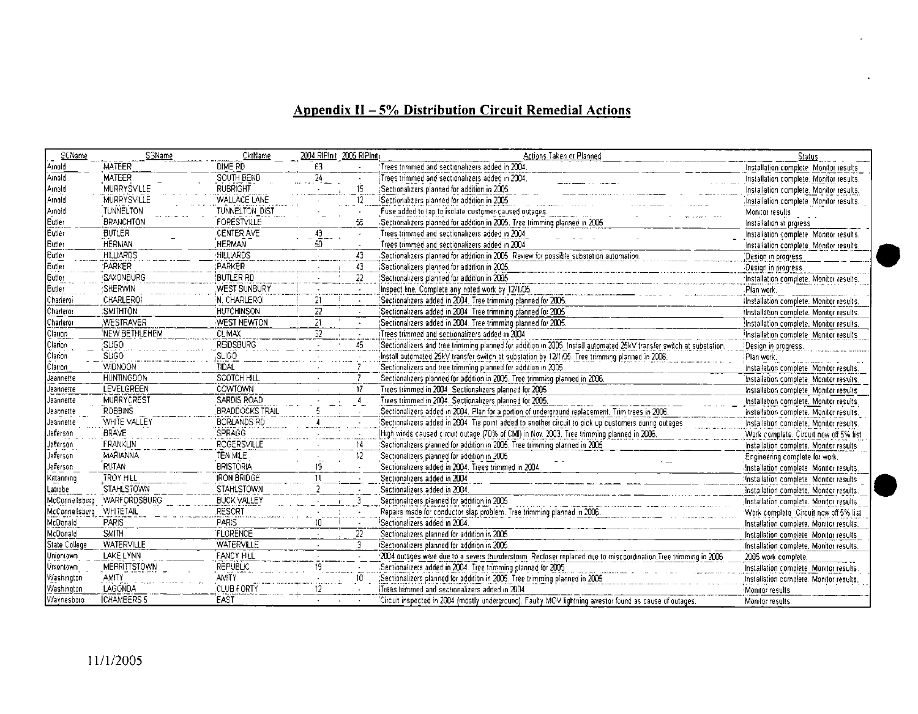## **Appendix II - 5% Distribution Circuit Remedial Actions**

| SCName         | <b>SSName</b>       | CktName                |                 | 2004 RIPInd 2005 RIPInd | Actions Taken or Planned                                                                                            | <b>Status</b>                            |
|----------------|---------------------|------------------------|-----------------|-------------------------|---------------------------------------------------------------------------------------------------------------------|------------------------------------------|
| Amold          | MATEER              | DIME RD                | 63              |                         | Trees trimmed and sectionalizers added in 2004                                                                      | Installation complete Monitor results    |
| Arnold         | <b>MATEER</b>       | SOUTH BEND             | 24              |                         | Trees trimmed and sectionalizers added in 2004,                                                                     | Installation complete. Monitor results,  |
| Amold          | <b>MURRYSVILLE</b>  | <b>RUBRIGHT</b>        |                 | 15                      | (Sectionalizers planned for addition in 2005,                                                                       | Installation complete. Monitor results.  |
| Arnold         | MURRYSVILLE         | WALLACE LANE           |                 | 12                      | Sectionalizers planned for addition in 2005                                                                         | Installation complete Monitor results.   |
| Amold          | <b>TUNNELTON</b>    | TUNNELTON DIST         |                 |                         | Fuse added to lap to isolate customer-caused outages.                                                               | Monitor results                          |
| Butler         | <b>BRANCHTON</b>    | <b>FORESTVILLE</b>     |                 | SS.                     | Sectionalizers planned for addition in 2005. Tree trimming planned in 2006                                          | Installation in profess                  |
| Butler         | <b>BUTLER</b>       | CENTER AVE             | 43              |                         | Trees trimmed and sectionalizers added in 2004.                                                                     | Installation complete. Monitor results.  |
| <b>Butler</b>  | <b>HERMAN</b>       | <b>HERMAN</b>          | 50              |                         | Trees trimmed and sectionalizers added in 2004                                                                      | Installation complete. Monitor results.  |
| Butler         | <b>HILLIARDS</b>    | <b>HILLIARDS</b>       |                 | 43                      | Sectionalizers planned for addition in 2005. Review for possible substation automation.                             | Design in progress                       |
| Butler         | <b>PARKER</b>       | <b>PARKER</b>          |                 | 43                      | Sectionalizers planned for addition in 2005.                                                                        | Design in progress.                      |
| Butter         | SAXONBURG           | Butler RD              |                 | $\overline{22}$         | Sectionalizers planned for addition in 2005                                                                         | Installation complete. Monitor results.  |
| Butler         | SHERWIN             | WEST SUNBURY           |                 |                         | Inspect line. Complete any noted work by 12/1/05.                                                                   | Plan work.                               |
| Charleroi      | CHARLEROI           | N. CHARLEROI           | 21              |                         | Sectionalizers added in 2004. Tree trimming planned for 2005.                                                       | ilnstallation complete. Monitor results. |
| Charleror      | :SMITHTON           | <b>HUTCHINSON</b>      | 22              |                         | Sectionalizers added in 2004 Tree trimming planned for 2005                                                         | Installation complete. Monitor results.  |
| Charleror      | <b>WESTRAVER</b>    | WEST NEWTON            | 21              |                         | Sectionalizers added in 2004. Tree trimming planned for 2005.                                                       | Installation complete. Monitor results.  |
| Clarion        | 'NEW BETHLEHEM      | CLIMAX                 | $\overline{32}$ |                         | Trees trimmed and sectionalizers added in 2004                                                                      | Installation complete. Monitor results.  |
| Clarion        | SLIGO               | <b>REIDSBURG</b>       |                 | 45                      | Sectionalizers and tree trimming planned for addition in 2005 Install automated 25kV transfer switch at substation. | Design in progress.                      |
| Clarion        | <b>SLIGO</b>        | <b>SLIGO</b>           |                 |                         | Install automated 25kV transfer switch at substation by 12/1/05. Tree trimming planned in 2006.                     | Plan work.                               |
| Clarion        | <b>WIDNOON</b>      | TIDAL                  |                 |                         | Sectionalizers and tree trimming planned for addition in 2005.                                                      | Installation complete. Monitor results.  |
| Jeannette      | <b>HUNTINGDON</b>   | <b>SCOTCH HILL</b>     |                 |                         | Sectionalizers planned for addition in 2005. Tree trimming planned in 2006.                                         | Installation complete. Monitor results,  |
| Jeannette      | <b>LEVELGREEN</b>   | COWTOWN                |                 | $\overline{17}$         | Trees trimmed in 2004 Sectionalizers planned for 2005                                                               | Installation complete Monitor results    |
| Jeannette      | MURRYCREST          | SARDIS ROAD            |                 | $-4$                    | Trees trimmed in 2004. Sectionalizers planned for 2005.                                                             | Installation complete. Monitor results,  |
| Jeannette      | <b>ROBBINS</b>      | <b>BRADDOCKS TRAIL</b> |                 |                         | Sectionalizers added in 2004. Plan for a portion of underground replacement. Trim trees in 2006.                    | Installation complete. Monitor results.  |
| Ueannette      | WHITE VALLEY        | <b>BORLANDS RD</b>     |                 |                         | Sectionalizers added in 2004. Tie point added to another circuit to pick up customers during outages                | Installation complete. Monitor results.  |
| Jefferson      | <b>BRAVE</b>        | <b>SPRAGG</b>          |                 |                         | High winds caused circuit outage (70% of CMI) in Nov. 2003. Tree trimming planned in 2006.                          | Work complete. Circuit now off 5% list   |
| Jefferson      | FRANKLIN            | ROGERSVILLE            |                 | 14                      | Sectionalizers planned for addition in 2005. Tree trimming planned in 2005                                          | Installation complete. Monitor results   |
| Jefferson      | <b>MARIANNA</b>     | TEN MILE               |                 | 12                      | Sectionalizers planned for addition in 2005.                                                                        | Engineering complete for work.           |
| Jefferson      | RUTAN               | <b>BRISTORIA</b>       | 19.             |                         | Sectionalizers added in 2004. Trees trimmed in 2004                                                                 | Installation complete. Monitor results,  |
| Kittanning     | <b>TROY HILL</b>    | <b>IRON BRIDGE</b>     | 11              |                         | Sectionalizers added in 2004                                                                                        | Installation complete. Monitor results   |
| Latrobe        | STAHLSTOWN          | <b>STAHLSTOWN</b>      |                 |                         | Sectionalizers added in 2004.                                                                                       | Installation complete. Monitor results.  |
| McConnellsburg | WARFORDSBURG        | <b>BUCK VALLEY</b>     |                 | 3                       | Sectionalizers planned for addition in 2005                                                                         | Installation complete. Monitor results   |
| McConnellsburg | <b>WHITETAIL</b>    | <b>RESORT</b>          |                 |                         | Repairs made for conductor slap problem. Tree trimming planned in 2006.                                             | Work complete Circuit now off 5% list    |
| McDonald       | <b>PAPIS</b>        | <b>PARIS</b>           | 10              |                         | Sectionalizers added in 2004.                                                                                       | Installation complete, Monitor results,  |
| McDonald       | <b>SMITH</b>        | <b>FLORENCE</b>        |                 | 22                      | Sectionalizers planned for addition in 2005.                                                                        | Installation complete. Monitor results   |
| State College  | WATERVILLE          | <b>WATERVILLE</b>      |                 | 3                       | Sectionalizers planned for addition in 2005.                                                                        | installation complete. Monitor results.  |
| Uniontown      | <b>LAKE LYNN</b>    | <b>FANCY HILL</b>      |                 |                         | 2004 outsges were due to a severs thunderstorm. Reclaser replaced due to miscoordination. Tree trimming in 2006     | 2005 work complete.                      |
| Uniontown      | <b>MERRITTSTOWN</b> | REPUBLIC               | 19              |                         | Sectionalizers added in 2004. Tree trimming planned for 2005.                                                       | Installation complete. Monitor results.  |
| Washington     | <b>AMITY</b>        | <b>AMITY</b>           |                 | 10                      | Sectionalizers planned for addition in 2005. Tree trimming planned in 2005                                          | Installation complete. Monitor results.  |
| Washington     | LAGONDA             | CLUB FORTY             |                 |                         | Trees trimmed and sectionalizers added in 2004                                                                      | Monitor results                          |
| Waynesboro     | <b>ICHAMBERS 5</b>  | EAST                   |                 |                         | Circuit inspected in 2004 (mostly underground). Faulty MOV lightning arrestor found as cause of outages.            | Monitor results.                         |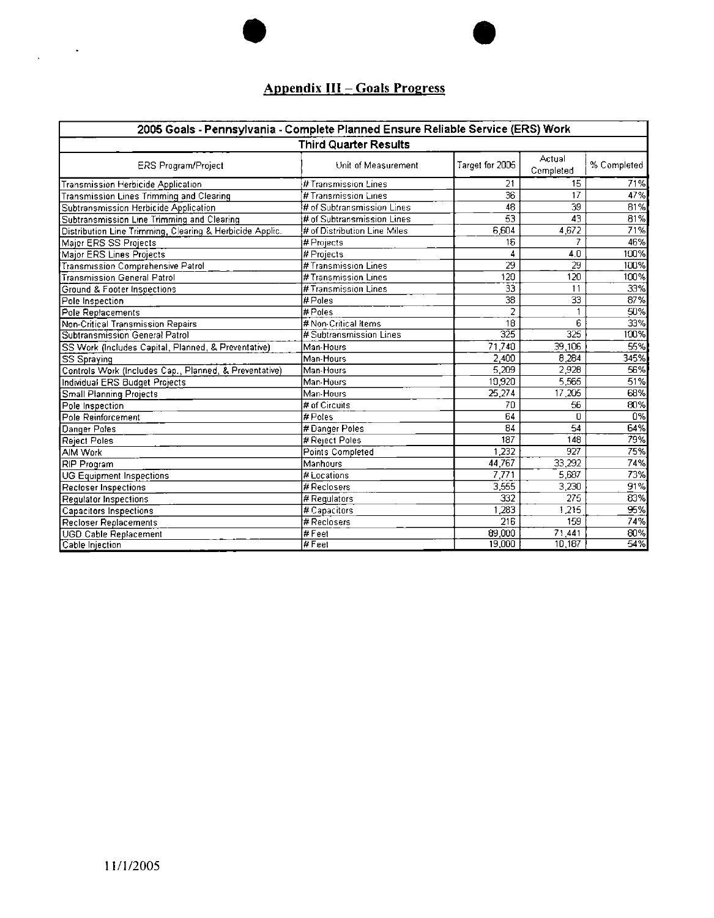## **Appendix HI - Goals Progress**

| 2005 Goals - Pennsylvania - Complete Planned Ensure Reliable Service (ERS) Work |                              |                  |                     |             |  |  |  |  |  |
|---------------------------------------------------------------------------------|------------------------------|------------------|---------------------|-------------|--|--|--|--|--|
| <b>Third Quarter Results</b>                                                    |                              |                  |                     |             |  |  |  |  |  |
| ERS Program/Project                                                             | Unit of Measurement          | Target for 2005  | Actual<br>Completed | % Completed |  |  |  |  |  |
| Transmission Herbicide Application                                              | # Transmission Lines         | 21               | 15                  | 71%         |  |  |  |  |  |
| Transmission Lines Trimming and Clearing                                        | # Transmission Lines         | 36               | 17                  | 47%         |  |  |  |  |  |
| Subtransmission Herbicide Application                                           | # of Subtransmission Lines   | 48               | $\overline{39}$     | 81%         |  |  |  |  |  |
| Subtransmission Line Trimming and Clearing                                      | # of Subtransmission Lines   | $\overline{53}$  | 43                  | 81%         |  |  |  |  |  |
| Distribution Line Trimming, Clearing & Herbicide Applic.                        | # of Distribution Line Miles | 6,604            | 4 672               | 71%         |  |  |  |  |  |
| Major ERS SS Projects                                                           | # Projects                   | 16               |                     | 46%         |  |  |  |  |  |
| Major ERS Lines Projects                                                        | # Projects                   | 4                | 4.0                 | 100%        |  |  |  |  |  |
| Transmission Comprehensive Patrol                                               | # Transmission Lines         | 29               | 29                  | 100%        |  |  |  |  |  |
| <b>Transmission General Patrol</b>                                              | # Transmission Lines         | 120              | 120                 | 100%        |  |  |  |  |  |
| Ground & Footer Inspections                                                     | # Transmission Lines         | 33               | 11                  | 33%         |  |  |  |  |  |
| Pole Inspection                                                                 | # Poles                      | 38               | $\overline{33}$     | 87%         |  |  |  |  |  |
| Pole Replacements                                                               | #Poles                       | 2                |                     | 50%         |  |  |  |  |  |
| Non-Critical Transmission Repairs                                               | # Non-Critical Items         | 18               | 6                   | 33%         |  |  |  |  |  |
| Subtransmission General Patrol                                                  | i# Subtransmission Lines     | 325              | 325                 | 100%        |  |  |  |  |  |
| SS Work (Includes Capital, Planned, & Preventative)                             | Man-Hours                    | 71.740           | 39,106              | 55%         |  |  |  |  |  |
| <b>SS Spraying</b>                                                              | Man-Hours                    | 2,400            | 8,284               | 345%        |  |  |  |  |  |
| Controls Work (Includes Cap., Planned, & Preventative)                          | Man-Hours                    | 5.209            | 2.928               | 56%         |  |  |  |  |  |
| Individual ERS Budget Projects                                                  | Man-Hours                    | 10,920           | 5.565               | 51%         |  |  |  |  |  |
| Small Planning Projects                                                         | Man-Hours                    | 25.274           | 17,205              | 68%         |  |  |  |  |  |
| Pole Inspection                                                                 | # of Circuits                | 70               | 56                  | 80%         |  |  |  |  |  |
| Pole Reinforcement                                                              | # Poles                      | 64               | n                   | 0%          |  |  |  |  |  |
| Danger Poles                                                                    | #Danger Poles                | 84               | 54                  | 64%         |  |  |  |  |  |
| Reject Poles                                                                    | # Reject Poles               | 187              | 148                 | 79%         |  |  |  |  |  |
| AIM Work                                                                        | Points Completed             | 1.232            | 927                 | 75%         |  |  |  |  |  |
| RIP Program                                                                     | Manhours                     | 44,767           | 33,292              | 74%         |  |  |  |  |  |
| <b>UG Equipment Inspections</b>                                                 | # Locations                  | 7.771            | 5.687               | 73%         |  |  |  |  |  |
| Recloser Inspections                                                            | # Reclosers                  | 3,555            | 3.230               | 91%         |  |  |  |  |  |
| Regulator Inspections                                                           | # Regulators                 | $\overline{332}$ | 275                 | 83%         |  |  |  |  |  |
| Capacitors Inspections                                                          | # Capacitors                 | $\overline{283}$ | 1.215               | 95%         |  |  |  |  |  |
| Recloser Replacements                                                           | # Reclosers                  | $\overline{216}$ | 159                 | 74%         |  |  |  |  |  |
| <b>UGD Cable Replacement</b>                                                    | $\sqrt{t}$ Feet              | 89,000           | 71,441              | 80%         |  |  |  |  |  |
| Cable Injection                                                                 | # Feet                       | 19,000           | 10,187              | 54%         |  |  |  |  |  |

 $\mathcal{L}^{\text{max}}$ 

 $\hat{\mathcal{A}}$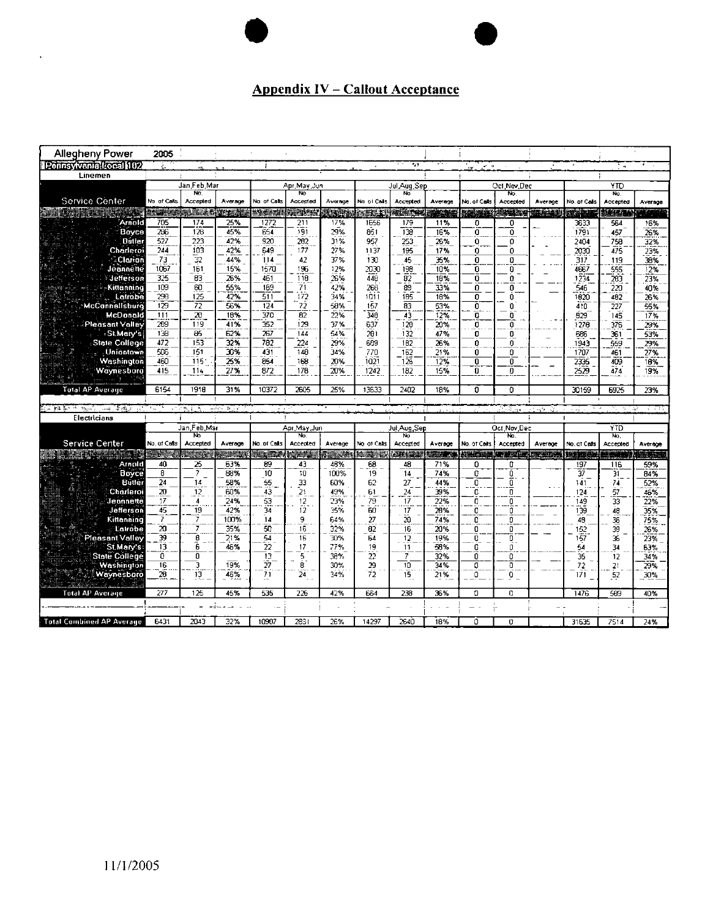## **Appendix IV - Callout Acceptance**

| Allegheny Power                  | 2005            |                         |                                     |                       |                       |               |                |                     |                 |                         |                   |                           |                   |                           |                        |
|----------------------------------|-----------------|-------------------------|-------------------------------------|-----------------------|-----------------------|---------------|----------------|---------------------|-----------------|-------------------------|-------------------|---------------------------|-------------------|---------------------------|------------------------|
| Pennsylvania Local (102)         |                 |                         |                                     | -2                    |                       |               |                | $+1$                |                 | $\omega = \infty$<br>ò. |                   |                           |                   | $\overline{a}$            |                        |
| Linemen                          |                 |                         |                                     |                       |                       |               |                |                     |                 |                         |                   |                           |                   |                           |                        |
|                                  | Jan Feb Mar     |                         | Apr May Jun                         |                       | Jul Aug Sep           |               | Oct Nov Dec    |                     | YTO             |                         |                   |                           |                   |                           |                        |
| Service Center                   | No of Calls     | No.<br>Accepted         | Average                             | No of Calls           | No<br>Accepted        | Average       | No ol Calls    | No<br>Accepted      | Average         | No. of Calls            | No.<br>Accepted   | Average                   | No. of Calls      | No.<br>Accepted           | Average                |
|                                  | <b>MANISCO</b>  | فالمشت                  | للقرائد                             | <b>Maritim</b>        | <b>PACES</b>          | 地中核           | maan           | <b>WARD</b>         | 34,38           |                         |                   | <b>BARA MARINA B</b>      | 强硬的               | <b>MARA</b>               |                        |
| Arnold                           | 705             | 174                     | 25%                                 | 1272                  | 211                   | 17%           | 1656           | 179                 | 11%             | O                       | 0                 |                           | 3633              | 564                       | 16%                    |
| Boyce                            | 286             | 128                     | 45%                                 | 654                   | 191                   | 29%           | 351            | 138                 | 16%             | $\overline{0}$          | $\overline{0}$    |                           | 1791              | 457                       | 2.9%                   |
| <b>Dútler</b>                    | 527             | 223                     | 42%                                 | 920                   | 202                   | 31%           | 957            | 253                 | 26%             | O                       | $\mathbf{0}$      |                           | 2404              | 758                       | 32%                    |
| Charleroi                        | 244             | 103                     | 42%                                 | 649                   | 177                   | 27%           | 1137           | 195                 | 17%             | 0                       | ō.                |                           | 2030              | 475                       | 23%                    |
| Clarion                          | 73              | 32                      | 44%                                 | 114                   | 42                    | 37%           | 130            | 45                  | ЖX.             | 0                       | o                 |                           | 317               | 119                       | 38%                    |
| Jeannette                        | 1067            | 161                     | 15%                                 | 1570                  | 196                   | 12%           | 2030           | 198                 | 10%             | 0                       | 0                 |                           | 4667              | 555                       | 12%                    |
| Jefferson                        | 325             | 83                      | 26%                                 | 461                   | 118                   | 26%           | 448            | $\overline{82}$     | 18%             | 0                       | Ω                 |                           | 1234              | 283                       | 23%                    |
| Kittanning                       | 109             | 60                      | 55%                                 | 169                   | 71                    | 42%           | 268            | 89                  | 33%             | n.                      | 0                 |                           | 546               | 220                       | 40%                    |
| Latrobe                          | 298             | 125                     | 42%                                 | $\overline{511}$      | 172                   | 34%           | 1011           | 185                 | 18%             | O.                      | n                 |                           | 1820              | 482                       | 25%                    |
| McCannellsburg                   | 129             | 72                      | 56%                                 | 124                   | 72                    | 58%           | 157            | 83                  | 5.1%            | O                       | n                 |                           | 410               | 227                       | 55%                    |
| <b>McDonald</b>                  | 111             | $\overline{\mathbf{z}}$ | 18%                                 | 370                   | 82                    | 22%           | 348            | 43                  | 12%             | o                       | $\mathbf{D}$      |                           | 829               | 145                       | 17%                    |
| <b>Pleasant Valley</b>           | 289             | 119                     | 41%                                 | 352                   | 129                   | 37%           | 637            | 129                 | 20%             | 0                       | n                 |                           | 1276              | 376                       | 29%                    |
| St Mary's                        | 138             | 85                      | 62%                                 | 267                   | 144                   | 54%           | 281            | 132                 | 47%             | o                       | 0                 |                           | 686               | 361                       | 53%                    |
| <b>State College</b>             | 472             | 153                     | 32%                                 | 782                   | 224                   | 29%           | 689            | 182                 | 26%             | u                       | ò                 |                           | 1943              | 559                       | 29%                    |
| . Uniontown                      | 506             | 151                     | 30%                                 | 431                   | 148                   | 34%           | 770            | $\frac{1}{162}$     | 21%             | 0                       | ۵                 |                           | 1707              | 461                       | 27%                    |
| Washington                       | 460             | 115                     | 25%                                 | 854                   | 163                   | 20%           | 1021           | 126                 | 12%             | 0                       | 0                 |                           | 2335              | 409                       | 18%                    |
| Waynesboro                       | 415             | 114                     | 27%                                 | 872                   | 178                   | 20%           | 1242           | 182                 | 15%             | n                       | O                 |                           | 2529              | 474                       | 19%                    |
|                                  |                 |                         |                                     |                       |                       |               |                |                     |                 |                         |                   |                           |                   |                           |                        |
| Total AP Average                 | 6154            | 1918                    | 31%                                 | 10372                 | 2605                  | 25%           | 13633          | 2402                | 18%             | Ū.                      | 0                 |                           | 30159             | 6925                      | 23%                    |
|                                  |                 |                         |                                     |                       |                       |               |                |                     |                 |                         |                   |                           |                   |                           |                        |
| $3.3\%$<br>幸福さ<br>sin de         |                 |                         | $n\delta\delta a$ $\delta$ $\delta$ |                       |                       |               |                |                     |                 |                         |                   |                           |                   |                           | 4. JY<br>$\Delta \phi$ |
| Electricians                     |                 |                         |                                     |                       |                       |               |                |                     |                 |                         |                   |                           |                   |                           |                        |
|                                  |                 | Jan Feb Mar<br>N٢       |                                     |                       | Apr May Jun<br>No     |               |                | Jul Aug, Sep<br>No. |                 |                         | Oct Nov Dec<br>N. |                           |                   | <b>YTD</b><br>$N_{\rm C}$ |                        |
| <b>Service Center</b>            | No. of Calls    | Accented                | Average                             | No. of Calls          | Accepted              | Average       | Vo of Calls    | Accepted            | Average         | No. of Calls            | Accepted          | Average                   | No. of Calls      | Accepted                  | Average                |
|                                  | <b>TANA</b>     | $-122$                  | u Ch                                | <b>Signal</b>         | 清风道                   | <b>TIME A</b> | 中国語            | 415, 275            | <b>MIRTH JA</b> | <b>美国文化</b>             |                   | <b>Comme American Car</b> | <b>ASSESSMENT</b> | 39 M                      | Silippin S             |
| Arnold                           | 40              | 25                      | 63%                                 | 89                    | 43                    | 48%           | 68             | 48                  | 71%             | 0                       | ū                 |                           | 197               | 116                       | 59%                    |
| <b>Boyce</b>                     | 8               | 7                       | 88%                                 | 10                    | $\overline{10}$       | 100%          | 19             | 14                  | 74%             | 0                       | 0                 |                           | 37                | 31                        | 84%                    |
| <b>Butler</b>                    | 24              | 14                      | 58%                                 | -55                   | 33                    | 60%           | 62             | 27                  | 44%             | Ō                       | ō                 |                           | 141               | 74                        | 52%                    |
| Charleroi                        | $\overline{20}$ | 12                      | 60%                                 | 43                    | $\overline{21}$       | 49%           | 61             | 24                  | 39%             | ō                       | n                 |                           | 124               | 57                        | 45%                    |
| Jeannette                        | 17              | 4                       | 24%                                 | 53                    | $12 \,$               | 23%           | 79             | 17                  | 22%             | 0                       | 0                 |                           | 149               | 33                        | 22%                    |
| Jefferson                        | 45              | 19                      | 42%                                 | 34                    | 12                    | 35%           | 60             | 17                  | 20%             | 0                       | 0                 |                           | 139               | 48                        | 35%                    |
| Kittanning<br>Latrobe            | 7<br>20         | 7<br>7                  | 100%                                | 14<br>50              | 9                     | 64%           | 27             | žö                  | 74%             | ñ                       | O                 |                           | 48                | 36                        | 75%                    |
| Pleasant Valley                  |                 |                         | 35%                                 | 54                    | 16<br>$\overline{16}$ | 32%<br>30%    | 82<br>64       | 16                  | 20%<br>19%      | 0<br>Ő                  | O                 |                           | 152               | 39<br>ЭĠ                  | 26%                    |
| St.Mary's                        | 39<br>13        | $\frac{6}{6}$           | 21%<br>46%                          | 22                    | 17                    | 77%           | 19             | 12<br>11            | 53%             | 0                       | o<br>Û            |                           | $-57$<br>54       | 34                        | 23%<br>63%             |
| <b>State College</b>             | ö               | 0                       |                                     | 13                    | 5.                    | 38%           | $\overline{2}$ | 7                   | 32%             | o                       | 0                 |                           | 35                | 12                        | 34%                    |
| Washington                       | 16              | 3                       | 19%                                 | $\tilde{\mathcal{U}}$ | 8                     | 30%           | 29             | 10                  | 34%             | o                       | Đ                 |                           | 72                | 21                        | 29%                    |
| Waynesboro                       | 28              | 13                      | 46%                                 | 71                    | 24                    | 34%           | 72             | 15                  | 21%             | 0                       | Ō.                |                           | 171               | 52                        | 30%                    |
|                                  |                 |                         |                                     |                       |                       |               |                |                     |                 |                         |                   |                           |                   |                           |                        |
| <b>Total AP Average</b>          | 277             | 125                     | 45%                                 | 535                   | 226                   | 42%           | 664            | 238                 | 36%             | $\Omega$                | O.                |                           | 1476              | 589                       | 40%                    |
|                                  |                 |                         |                                     |                       |                       |               |                |                     |                 |                         |                   |                           |                   |                           |                        |
|                                  |                 |                         |                                     |                       |                       |               |                |                     |                 |                         |                   |                           |                   |                           |                        |
| <b>Total Combined AP Average</b> | 6431            | 2043                    | 32%                                 | 10907                 | 2831                  | 26%           | 14297          | 2640                | 18%             | O                       | 0                 |                           | 31635             | 7514                      | 24%                    |

 $\ddot{\phantom{1}}$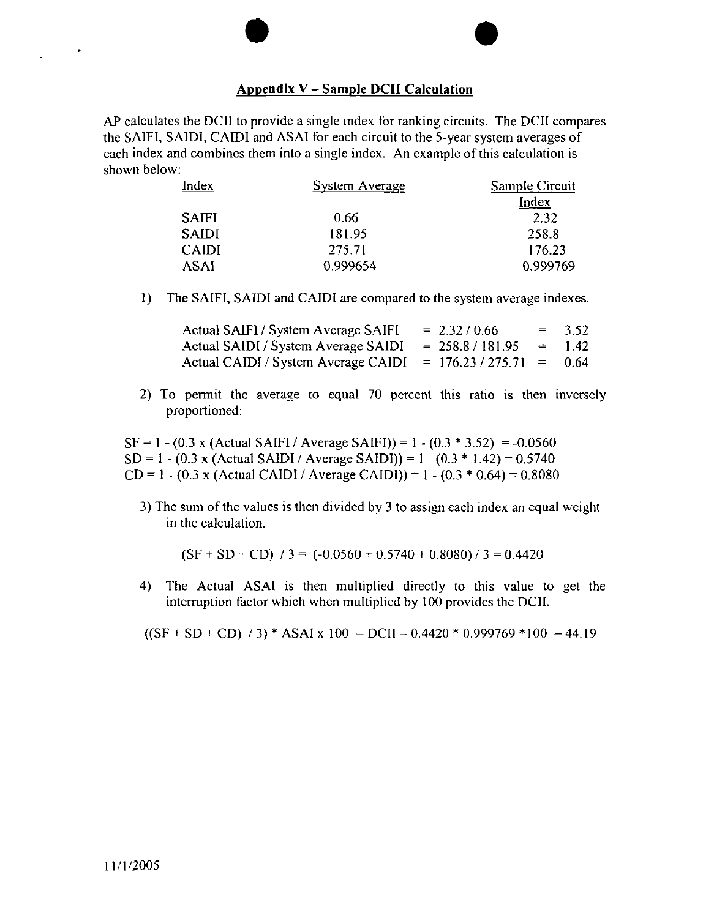#### **Appendix <sup>V</sup> - Sample DCII Calculation**

AP calculates the DCII to provide a single index for ranking circuits. The DCII compares the SAIFI, SA1DI, CAIDI and ASA1 for each circuit to the 5-year system averages of each index and combines them into <sup>a</sup> single index. An example ofthis calculation is shown below:

| <b>System Average</b> | <b>Sample Circuit</b> |  |  |  |
|-----------------------|-----------------------|--|--|--|
|                       | Index                 |  |  |  |
| 0.66                  | 2.32                  |  |  |  |
| 181.95                | 258.8                 |  |  |  |
| 275.71                | 176.23                |  |  |  |
| 0.999654              | 0.999769              |  |  |  |
|                       |                       |  |  |  |

1) The SAIFI, SAIDI and CAIDI are compared to the system average indexes.

| Actual SAIFI / System Average SAIFI | $= 2.32 / 0.66$       |                           | $= 3.52$ |
|-------------------------------------|-----------------------|---------------------------|----------|
| Actual SAIDI / System Average SAIDI | $= 258.8 / 181.95$    | $\mathbf{r} = \mathbf{r}$ | 1.42     |
| Actual CAIDI / System Average CAIDI | $= 176.23 / 275.71 =$ |                           | -0.64    |

**2**) To permit the average to equal 70 percent this ratio is then inversely proportioned:

 $SF = 1 - (0.3 \times (Actual SAlFI / Average SAlFI)) = 1 - (0.3 * 3.52) = -0.0560$  $SD = 1 - (0.3 \times (Actual SAIDI / Average SAIDI)) = 1 - (0.3 * 1.42) = 0.5740$  $CD = 1 - (0.3 \times (Actual CAIDI / Average CAIDI)) = 1 - (0.3 * 0.64) = 0.8080$ 

3) The sum of the values is then divided by 3 to assign each index an equal weight in the calculation.

 $(SF + SD + CD)$  / 3 = (-0.0560 + 0.5740 + 0.8080) / 3 = 0.4420

4) The Actual ASAI is then multiplied directly to this value to get the interruption factor which when multiplied by 100 provides the DCII.

 $((SF + SD + CD) / 3)$  \* ASAI x 100 = DCII = 0.4420 \* 0.999769 \*100 = 44.19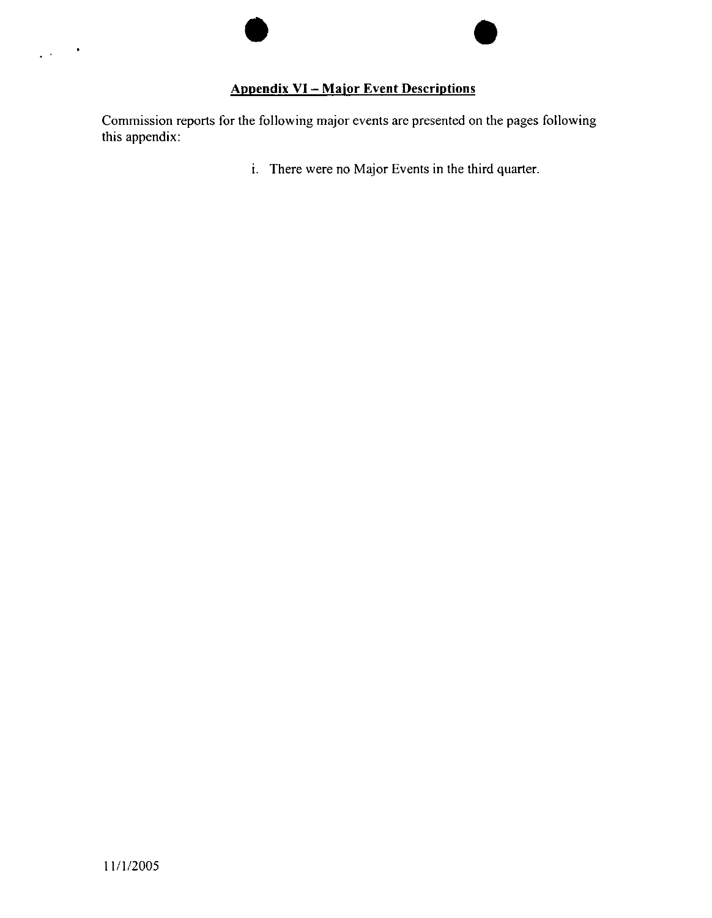### **Appendix VI - Major Event Descriptions**

Commission reports for the following major events are presented on the pages following this appendix:

i. There were no Major Events in the third quarter.

 $\bullet$ 

 $\mathcal{L}^{\mathcal{L}}$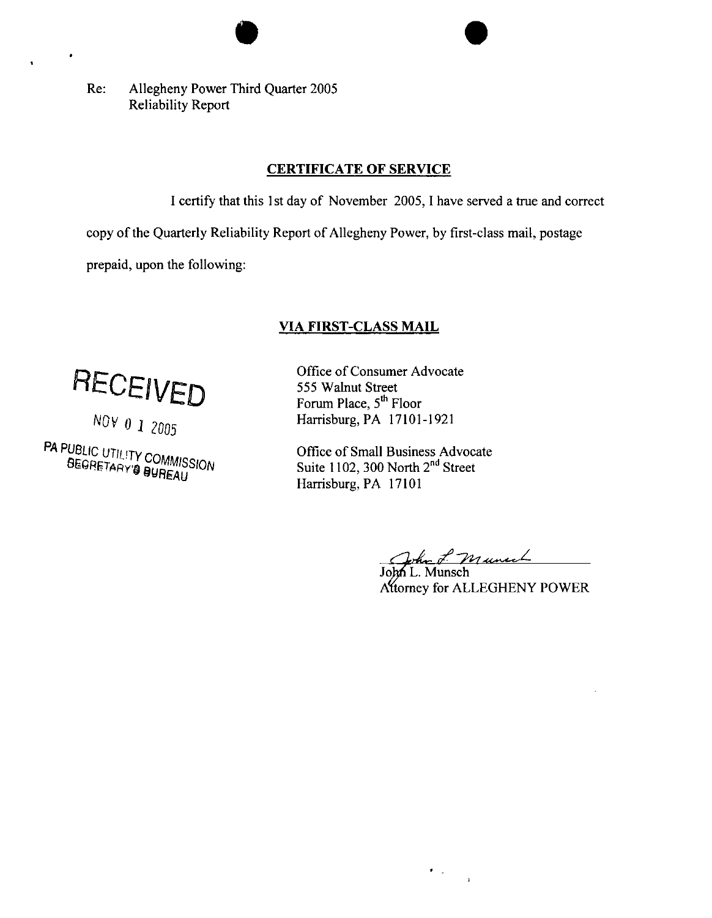Re: Allegheny Power Third Quarter 2005 Reliability Report

#### **CERTIFICATE OF SERVICE**

I certify that this 1st day of November 2005,1 have served a true and correct

copy of the Quarterly Reliability Report of Allegheny Power, by first-class mail, postage

prepaid, upon the following:

#### **VTA FIRST-CLASS MAIL**

**RECEIVED** 

PA PUBLIC UTILITY COMMISSION

Office of Consumer Advocate 555 Walnut Street Forum Place,  $5<sup>th</sup>$  Floor Harrisburg, PA 17101-1921

Office of Small Business Advocate Suite 1102, 300 North 2<sup>nd</sup> Street Harrisburg, PA 17101

John L. Munech

Attorney for ALLEGHENY POWER

 $\epsilon_{\rm{max}}$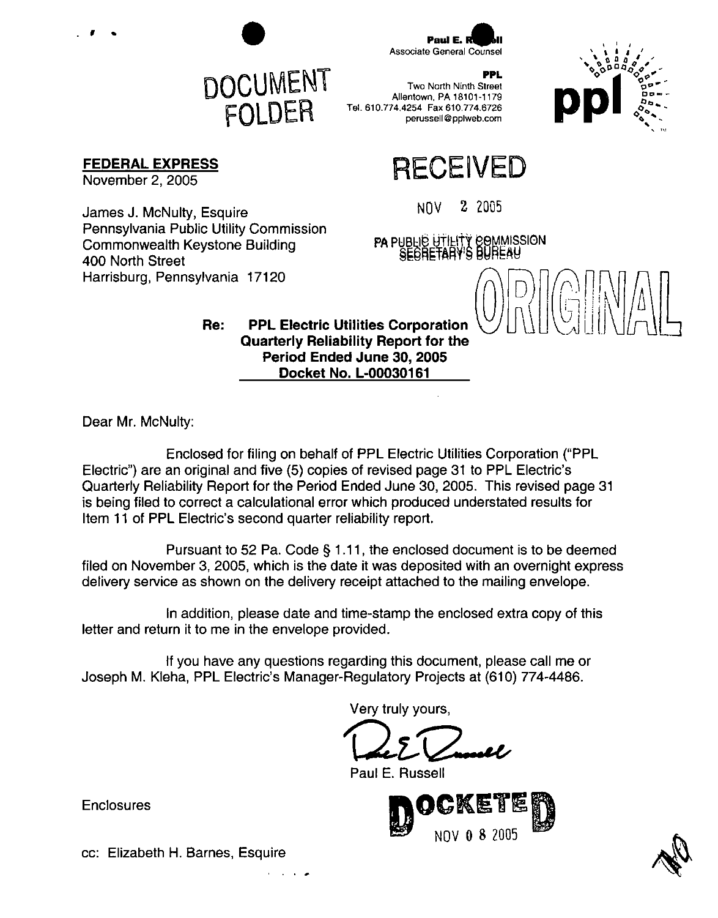

FOLDER

Paul E. Associate General Counsel

**FEDERAL EXPRESS**

November 2, 2005

 $\epsilon$  .

James J. McNulty, Esquire NOW 2 2005 Pennsylvania Public Utility Commission ...... Commonwealth Keystone Building **Commonwealth Keystone Building FA PUBLIC UTILITY COMMISSION**<br>400 North Street **minimum** SECRETARY'S BUREAU Harrisburg, Pennsylvania 17120

PPL Two North Ninth Street Allentown, PA 18101-1179 Tel. 610.774.4254 Fax 610.774.6726 perussell @ pplweb.com

# **RECEIVED**

 $\overline{\bigcap}$ 

**Re: PPL Electric Utilities Corporation Quarterly Reliability Report for the Period Ended June 30, 2005 Docket No. L-00030161**

Dear Mr. McNulty:

Enclosed for filing on behalf of PPL Electric Utilities Corporation ("PPL Electric") are an original and five (5) copies of revised page 31 to PPL Electric's Quarterly Reliability Report for the Period Ended June 30, 2005. This revised page 31 is being filed to correct a calculational error which produced understated results for Item 11 of PPL Electric's second quarter reliability report.

Pursuant to 52 Pa. Code § 1.11, the enclosed document is to be deemed filed on November 3, 2005, which is the date it was deposited with an overnight express delivery service as shown on the delivery receipt attached to the mailing envelope.

In addition, please date and time-stamp the enclosed extra copy of this letter and return it to me in the envelope provided.

If you have any questions regarding this document, please call me or Joseph M. Kleha, PPL Electric's Manager-Regulatory Projects at (610) 774-4486.

Very truly yours,

Paul E. Russell



**Enclosures** 

cc: Elizabeth H. Barnes, Esquire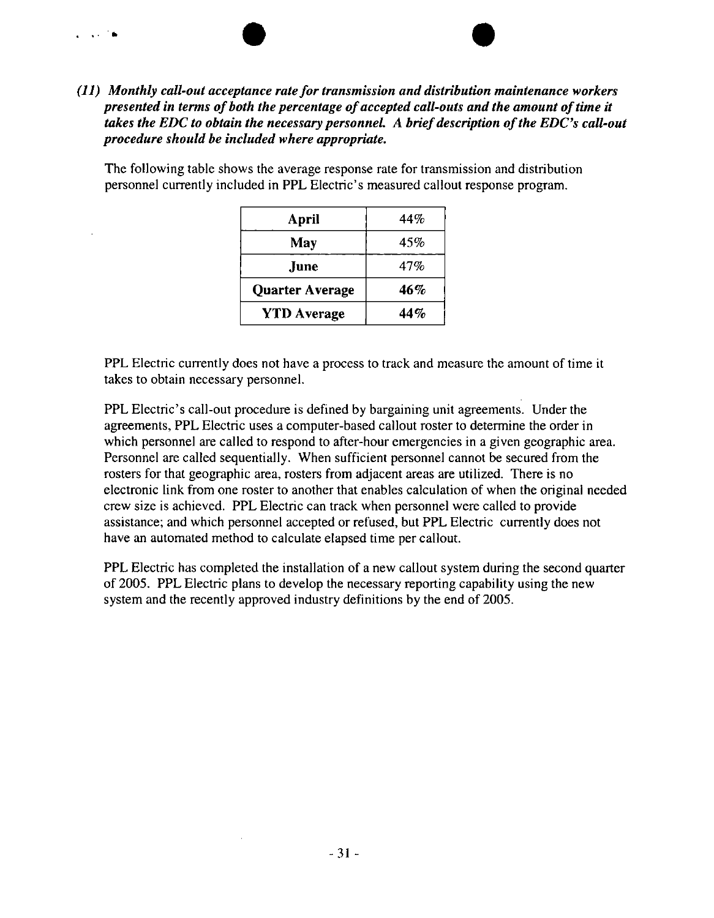#### *(11) Monthly call-out acceptance ratefortransmission and distribution maintenance workers presented in terms ofboth the percentage ofaccepted call-outs and the amount oftime it takes the EDC to obtain the necessary personnel. A briefdescription ofthe EDC's call-out procedure should be included where appropriate.*

 $\sim 100$  m

The following table shows the average response rate for transmission and distribution personnel currently included in PPL Electric's measured callout response program.

| April                  | 44%        |
|------------------------|------------|
| May                    | 45%        |
| June.                  | 47%        |
| <b>Quarter Average</b> | <b>46%</b> |
| <b>YTD</b> Average     | 44%        |

PPL Electric currently does not have a process to track and measure the amount of time it takes to obtain necessary personnel.

PPL Electric's call-out procedure is defined by bargaining unit agreements. Under the agreements, PPL Electric uses a computer-based callout roster to determine the order in which personnel are called to respond to after-hour emergencies in a given geographic area. Personnel are called sequentially. When sufficient personnel cannot be secured from the rosters for that geographic area, rosters from adjacent areas are utilized. There is no electronic link from one roster to another that enables calculation of when the original needed crew size is achieved. PPL Electric can track when personnel were called to provide assistance; and which personnel accepted or refused, but PPL Electric currently does not have an automated method to calculate elapsed time per callout.

PPL Electric has completed the installation of a new callout system during the second quarter of 2005. PPL Electric plans to develop the necessary reporting capability using the new system and the recently approved industry definitions by the end of 2005.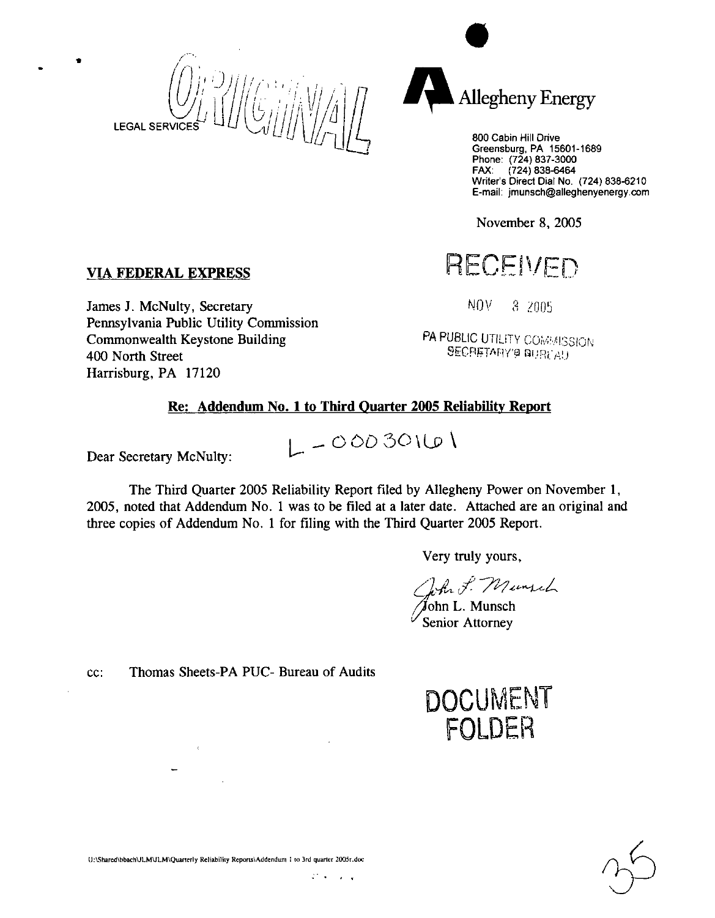$\bullet$   $\qquad$   $\qquad$   $\qquad$   $\qquad$   $\qquad$   $\qquad$   $\qquad$   $\qquad$   $\qquad$   $\qquad$   $\qquad$   $\qquad$   $\qquad$   $\qquad$   $\qquad$   $\qquad$   $\qquad$   $\qquad$   $\qquad$   $\qquad$   $\qquad$   $\qquad$   $\qquad$   $\qquad$   $\qquad$   $\qquad$   $\qquad$   $\qquad$   $\qquad$   $\qquad$   $\qquad$   $\qquad$   $\qquad$   $\qquad$   $\qquad$   $\qquad$  **LEGAL SERVICE** 



800 Cabin Hill Drive Greensburg, PA 15601-1689 Phone:  $(724)837-3000$ FAX: (724) 838-6464 Writer's Direct Dial No. (724) 838-6210 E-mail: jmunsch@alleghenyenergy.com

November 8, 2005

# VIA FEDERAL EXPRESS RECEIVED

James J. McNulty, Secretary  $N()V = 8,2005$ Pennsylvania Public Utility Commission **Commonwealth Keystone Building PA PUBLIC UTILITY COMMISSION** 400 North Street Secretary's BECRETARY's BURGAU Harrisburg, PA 17120

#### Re: Addendum No. <sup>1</sup> to Third Quarter 2005 Reliability Report

 $L = 00030101$ 

Dear Secretary McNulty:

The Third Quarter 2005 Reliability Report filed by Allegheny Power on November 1, 2005, noted that Addendum No. <sup>1</sup> was to be filed at a later date. Attached are an original and three copies of Addendum No. <sup>1</sup> for filing with the Third Quarter 2005 Report.

Very truly yours,

/John L. Munsch  $\sqrt{\frac{S_{\text{enior}}}{S_{\text{enior}}}}$  Attorney

cc: Thomas Sheets-PA PUC- Bureau of Audits





tJ:YShared\hbach\JLMULM\Quarterly Reliability Reports\Addenduni ! to 3rd quarter 2005r.doc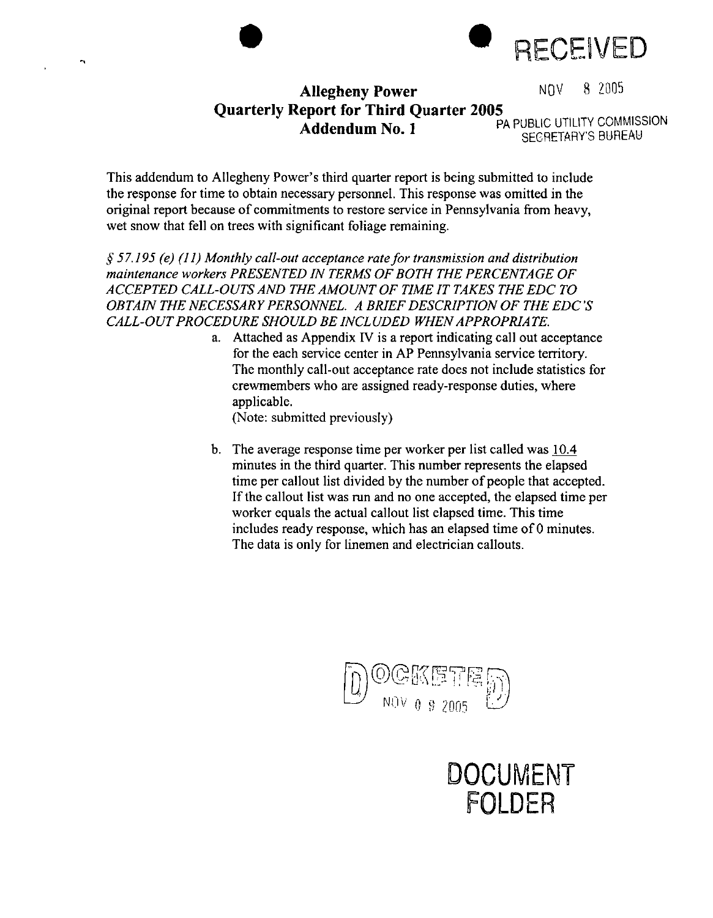

NOV 8 2005

## **Allegheny Power Quarterly Report for Third Quarter 2005 Addendum No. <sup>1</sup> <sup>p</sup>**

PA PUBLIC UTILITY COMMISSION SECRETARY'S BUREAU

This addendum to Allegheny Power's third quarter report is being submitted to include the response for time to obtain necessary personnel. This response was omitted in the original report because of commitments to restore service in Pennsylvania from heavy, wet snow that fell on trees with significant foliage remaining.

*§57.195 (e) (11) Monthly call-out acceptance ratefortransmission and distribution maintenance workers PRESENTED IN TERMS OFBOTH THE PERCENTAGE OF ACCEPTED CALL-OUTS AND THE AMOUNT OF TIME IT TAKES THE EDC TO OBTAIN THE NECESSARY PERSONNEL A BRIEFDESCRIPTION OF THE EDC'S CALL-OUTPROCEDURE SHOULD BE INCLUDED WHENAPPROPRIATE.*

a. Attached as Appendix IV is a report indicating call out acceptance for the each service center in AP Pennsylvania service territory. The monthly call-out acceptance rate does not include statistics for crewmembers who are assigned ready-response duties, where applicable.

(Note: submitted previously)

b. The average response time per worker per list called was 10.4 minutes in the third quarter. This number represents the elapsed time per callout list divided by the number of people that accepted. If the callout list was run and no one accepted, the elapsed time per worker equals the actual callout list elapsed time. This time includes ready response, which has an elapsed time of 0 minutes. The data is only for linemen and electrician callouts.